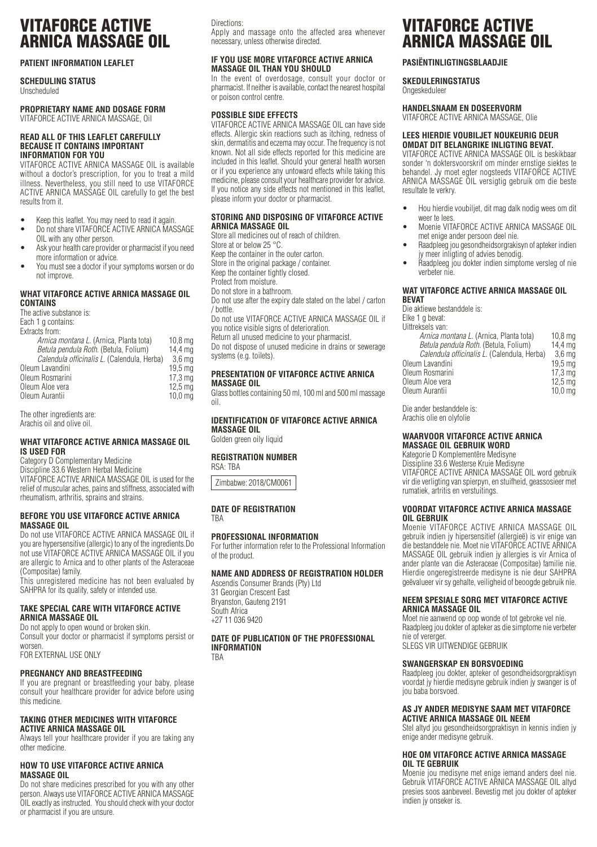# VITAFORCE ACTIVE ARNICA MASSAGE OIL

## **PATIENT INFORMATION LEAFLET**

## **SCHEDULING STATUS**

Unscheduled

## **PROPRIETARY NAME AND DOSAGE FORM** VITAFORCE ACTIVE ARNICA MASSAGE, Oil

#### **READ ALL OF THIS LEAFLET CAREFULLY BECAUSE IT CONTAINS IMPORTANT INFORMATION FOR YOU**

VITAFORCE ACTIVE ARNICA MASSAGE OIL is available without a doctor's prescription, for you to treat a mild illness. Nevertheless, you still need to use VITAFORCE ACTIVE ARNICA MASSAGE OIL carefully to get the best results from it.

- Keep this leaflet. You may need to read it again.
- Do not share VITAFORCE ACTIVE ARNICA MASSAGE OIL with any other person.
- Ask your health care provider or pharmacist if you need more information or advice.
- You must see a doctor if your symptoms worsen or do not improve.

#### **WHAT VITAFORCE ACTIVE ARNICA MASSAGE OIL CONTAINS**

The active substance is: Each 1 g contains: Extracts from: *Arnica montana L.* (Arnica, Planta tota) 10,8 mg<br>*Betula pendula Roth.* (Betula, Folium) 14,4 mg *Betula pendula Roth.* (Betula, Folium) 14,4 mg *Calendula officinalis L*. (Calendula, Herba) 3,6 mg Oleum Lavandini 19,5 mg<br>Oleum Rosmarini 19,5 mg<br>Oleum Rosmarini 17.3 mg Oleum Rosmarini 17,3 mg<br>Oleum Aloe vera 12,5 mg Oleum Aloe vera 12,5 mg<br>Oleum Aurantii 10.0 mg Oleum Aurantii

The other ingredients are: Arachis oil and olive oil.

## **WHAT VITAFORCE ACTIVE ARNICA MASSAGE OIL IS USED FOR**

Category D Complementary Medicine Discipline 33.6 Western Herbal Medicine VITAFORCE ACTIVE ARNICA MASSAGE OIL is used for the relief of muscular aches, pains and stiffness, associated with rheumatism, arthritis, sprains and strains.

## **BEFORE YOU USE VITAFORCE ACTIVE ARNICA MASSAGE OIL**

Do not use VITAFORCE ACTIVE ARNICA MASSAGE OIL if you are hypersensitive (allergic) to any of the ingredients.Do not use VITAFORCE ACTIVE ARNICA MASSAGE OIL if you are allergic to Arnica and to other plants of the Asteraceae (Compositae) family.

This unregistered medicine has not been evaluated by SAHPRA for its quality, safety or intended use.

## **TAKE SPECIAL CARE WITH VITAFORCE ACTIVE ARNICA MASSAGE OIL**

Do not apply to open wound or broken skin. Consult your doctor or pharmacist if symptoms persist or worsen.

FOR EXTERNAL USE ONLY

## **PREGNANCY AND BREASTFEEDING**

If you are pregnant or breastfeeding your baby, please consult your healthcare provider for advice before using this medicine.

#### **TAKING OTHER MEDICINES WITH VITAFORCE ACTIVE ARNICA MASSAGE OIL**

Always tell your healthcare provider if you are taking any other medicine.

## **HOW TO USE VITAFORCE ACTIVE ARNICA MASSAGE OIL**

Do not share medicines prescribed for you with any other person. Always use VITAFORCE ACTIVE ARNICA MASSAGE OIL exactly as instructed. You should check with your doctor or pharmacist if you are unsure.

## Directions:

Apply and massage onto the affected area whenever necessary, unless otherwise directed.

## **IF YOU USE MORE VITAFORCE ACTIVE ARNICA MASSAGE OIL THAN YOU SHOULD**

In the event of overdosage, consult your doctor or pharmacist. If neither is available, contact the nearest hospital or poison control centre.

## **POSSIBLE SIDE EFFECTS**

VITAFORCE ACTIVE ARNICA MASSAGE OIL can have side effects. Allergic skin reactions such as itching, redness of skin, dermatitis and eczema may occur. The frequency is not known. Not all side effects reported for this medicine are included in this leaflet. Should your general health worsen or if you experience any untoward effects while taking this medicine, please consult your healthcare provider for advice. If you notice any side effects not mentioned in this leaflet, please inform your doctor or pharmacist.

#### **STORING AND DISPOSING OF VITAFORCE ACTIVE ARNICA MASSAGE OIL**

Store all medicines out of reach of children. Store at or below 25 °C. Keep the container in the outer carton. Store in the original package / container. Keep the container tightly closed. Protect from moisture. Do not store in a bathroom. Do not use after the expiry date stated on the label / carton / bottle. Do not use VITAFORCE ACTIVE ARNICA MASSAGE OIL if you notice visible signs of deterioration. Return all unused medicine to your pharmacist. Do not dispose of unused medicine in drains or sewerage systems (e.g. toilets)

## **PRESENTATION OF VITAFORCE ACTIVE ARNICA MASSAGE OIL**

Glass bottles containing 50 ml, 100 ml and 500 ml massage oil.

#### **IDENTIFICATION OF VITAFORCE ACTIVE ARNICA MASSAGE OIL**

Golden green oily liquid

## **REGISTRATION NUMBER**

RSA: TBA

Zimbabwe: 2018/CM0061

## **DATE OF REGISTRATION**

TBA

## **PROFESSIONAL INFORMATION**

For further information refer to the Professional Information of the product.

## **NAME AND ADDRESS OF REGISTRATION HOLDER**

Ascendis Consumer Brands (Pty) Ltd 31 Georgian Crescent East Bryanston, Gauteng 2191 South Africa +27 11 036 9420

**DATE OF PUBLICATION OF THE PROFESSIONAL INFORMATION** TBA

# VITAFORCE ACTIVE ARNICA MASSAGE OIL

## **PASIËNTINLIGTINGSBLAADJIE**

**SKEDULERINGSTATUS**

Ongeskeduleer

# **HANDELSNAAM EN DOSEERVORM**

VITAFORCE ACTIVE ARNICA MASSAGE Olie

## **LEES HIERDIE VOUBILJET NOUKEURIG DEUR OMDAT DIT BELANGRIKE INLIGTING BEVAT.**

VITAFORCE ACTIVE ARNICA MASSAGE OIL is beskikbaar sonder 'n doktersvoorskrif om minder ernstige siektes te behandel. Jy moet egter nogsteeds VITAFORCE ACTIVE ARNICA MASSAGE OIL versigtig gebruik om die beste resultate te verkry.

- Hou hierdie voubiljet, dit mag dalk nodig wees om dit weer te lees.
- Moenie VITAFORCE ACTIVE ARNICA MASSAGE OIL met enige ander persoon deel nie.
- Raadpleeg jou gesondheidsorgrakisyn of apteker indien jy meer inligting of advies benodig.
- Raadpleeg jou dokter indien simptome versleg of nie verbeter nie.

## **WAT VITAFORCE ACTIVE ARNICA MASSAGE OIL BEVAT**

Die aktiewe bestanddele is: Elke 1 g bevat: Uittreksels van: *Arnica montana L.* (Arnica, Planta tota) 10,8 mg *Betula pendula Roth.* (Betula, Folium) 14,4 mg

| Calendula officinalis L. (Calendula, Herba)<br>3.6 ma |  |
|-------------------------------------------------------|--|
| Oleum Lavandini<br>19.5 ma                            |  |
| Oleum Rosmarini<br>17.3 <sub>ma</sub>                 |  |
| Oleum Aloe vera<br>12.5 <sub>mg</sub>                 |  |
| Oleum Aurantii<br>$10,0 \text{ mg}$                   |  |

Die ander bestanddele is: Arachis olie en olyfolie

#### **WAARVOOR VITAFORCE ACTIVE ARNICA MASSAGE OIL GEBRUIK WORD**

Kategorie D Komplementêre Medisyne Dissipline 33.6 Westerse Kruie Medisyne VITAFORCE ACTIVE ARNICA MASSAGE OIL word gebruik vir die verligting van spierpyn, en stuifheid, geassosieer met rumatiek, artritis en verstuitings.

#### **VOORDAT VITAFORCE ACTIVE ARNICA MASSAGE OIL GEBRUIK**

Moenie VITAFORCE ACTIVE ARNICA MASSAGE OIL gebruik indien jy hipersensitief (allergieë) is vir enige van die bestanddele nie. Moet nie VITAFORCE ACTIVE ARNICA MASSAGE OIL gebruik indien jy allergies is vir Arnica of ander plante van die Asteraceae (Compositae) familie nie. Hierdie ongeregistreerde medisyne is nie deur SAHPRA geëvalueer vir sy gehalte, veiligheid of beoogde gebruik nie.

## **NEEM SPESIALE SORG MET VITAFORCE ACTIVE ARNICA MASSAGE OIL**

Moet nie aanwend op oop wonde of tot gebroke vel nie. Raadpleeg jou dokter of apteker as die simptome nie verbeter nie of vererger. SLEGS VIR UITWENDIGE GEBRUIK

## **SWANGERSKAP EN BORSVOEDING**

Raadpleeg jou dokter, apteker of gesondheidsorgpraktisyn voordat jy hierdie medisyne gebruik indien jy swanger is of jou baba borsvoed.

#### **AS JY ANDER MEDISYNE SAAM MET VITAFORCE ACTIVE ARNICA MASSAGE OIL NEEM**

Stel altyd jou gesondheidsorgpraktisyn in kennis indien jy enige ander medisyne gebruik.

## **HOE OM VITAFORCE ACTIVE ARNICA MASSAGE OIL TE GEBRUIK**

Moenie jou medisyne met enige iemand anders deel nie. Gebruik VITAFORCE ACTIVE ARNICA MASSAGE OIL altyd presies soos aanbeveel. Bevestig met jou dokter of apteker indien jy onseker is.